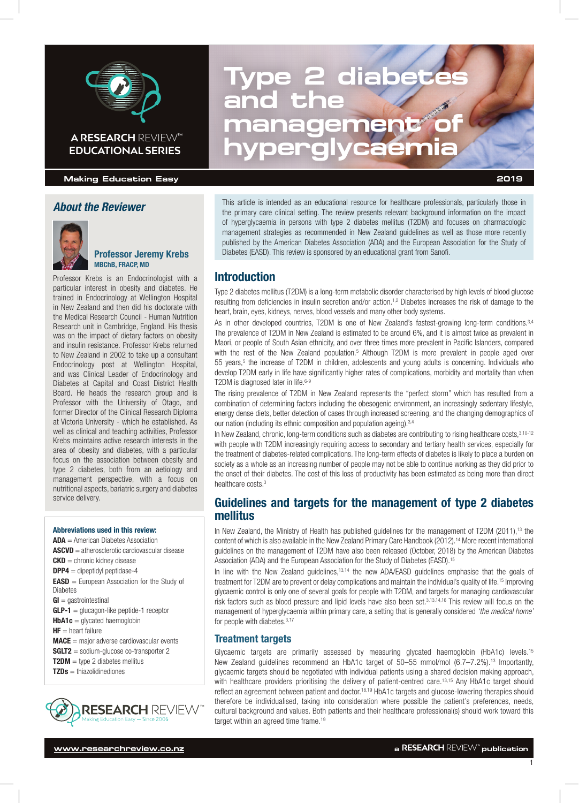

## **EDUCATIONAL SERIES**

**Making Education Easy 2019**

## *About the Reviewer*



#### Professor Jeremy Krebs MBChB, FRACP, MD

Professor Krebs is an Endocrinologist with a particular interest in obesity and diabetes. He trained in Endocrinology at Wellington Hospital in New Zealand and then did his doctorate with the Medical Research Council - Human Nutrition Research unit in Cambridge, England. His thesis was on the impact of dietary factors on obesity and insulin resistance. Professor Krebs returned to New Zealand in 2002 to take up a consultant Endocrinology post at Wellington Hospital, and was Clinical Leader of Endocrinology and Diabetes at Capital and Coast District Health Board. He heads the research group and is Professor with the University of Otago, and former Director of the Clinical Research Diploma at Victoria University - which he established. As well as clinical and teaching activities, Professor Krebs maintains active research interests in the area of obesity and diabetes, with a particular focus on the association between obesity and type 2 diabetes, both from an aetiology and management perspective, with a focus on nutritional aspects, bariatric surgery and diabetes service delivery.

#### Abbreviations used in this review:

ADA = American Diabetes Association ASCVD = atherosclerotic cardiovascular disease  $CKD$  = chronic kidney disease

 $DPP4 =$  dipeptidyl peptidase-4

**EASD** = European Association for the Study of Diabetes

 $GI =$  gastrointestinal

- $GLP-1 =$  glucagon-like peptide-1 receptor
- $HbA1c =$  glycated haemoglobin
- $HF =$  heart failure
- **= major adverse cardiovascular events**
- SGLT2 = sodium-glucose co-transporter 2
- $T2DM =$  type 2 diabetes mellitus
- $TZDs = \text{thiazolidinediones}$



# **Type 2 diabetes and the management of hyperglycaemia A RESEARCH** REVIEW™

This article is intended as an educational resource for healthcare professionals, particularly those in the primary care clinical setting. The review presents relevant background information on the impact of hyperglycaemia in persons with type 2 diabetes mellitus (T2DM) and focuses on pharmacologic management strategies as recommended in New Zealand guidelines as well as those more recently published by the American Diabetes Association (ADA) and the European Association for the Study of Diabetes (EASD). This review is sponsored by an educational grant from Sanofi.

## Introduction

Type 2 diabetes mellitus (T2DM) is a long-term metabolic disorder characterised by high levels of blood glucose resulting from deficiencies in insulin secretion and/or action.1,2 Diabetes increases the risk of damage to the heart, brain, eyes, kidneys, nerves, blood vessels and many other body systems.

As in other developed countries, T2DM is one of New Zealand's fastest-growing long-term conditions.<sup>3,4</sup> The prevalence of T2DM in New Zealand is estimated to be around 6%, and it is almost twice as prevalent in Maori, or people of South Asian ethnicity, and over three times more prevalent in Pacific Islanders, compared with the rest of the New Zealand population.<sup>5</sup> Although T2DM is more prevalent in people aged over 55 years,<sup>5</sup> the increase of T2DM in children, adolescents and young adults is concerning. Individuals who develop T2DM early in life have significantly higher rates of complications, morbidity and mortality than when T2DM is diagnosed later in life.<sup>6-9</sup>

The rising prevalence of T2DM in New Zealand represents the "perfect storm" which has resulted from a combination of determining factors including the obesogenic environment, an increasingly sedentary lifestyle, energy dense diets, better detection of cases through increased screening, and the changing demographics of our nation (including its ethnic composition and population ageing).<sup>3,4</sup>

In New Zealand, chronic, long-term conditions such as diabetes are contributing to rising healthcare costs, 3,10-12 with people with T2DM increasingly requiring access to secondary and tertiary health services, especially for the treatment of diabetes-related complications. The long-term effects of diabetes is likely to place a burden on society as a whole as an increasing number of people may not be able to continue working as they did prior to the onset of their diabetes. The cost of this loss of productivity has been estimated as being more than direct healthcare costs.3

## Guidelines and targets for the management of type 2 diabetes mellitus

In New Zealand, the Ministry of Health has published guidelines for the management of T2DM (2011),<sup>13</sup> the content of which is also available in the New Zealand Primary Care Handbook (2012).14 More recent international guidelines on the management of T2DM have also been released (October, 2018) by the American Diabetes Association (ADA) and the European Association for the Study of Diabetes (EASD).<sup>15</sup>

In line with the New Zealand guidelines,<sup>13,14</sup> the new ADA/EASD guidelines emphasise that the goals of treatment for T2DM are to prevent or delay complications and maintain the individual's quality of life.15 Improving glycaemic control is only one of several goals for people with T2DM, and targets for managing cardiovascular risk factors such as blood pressure and lipid levels have also been set.3,13,14,16 This review will focus on the management of hyperglycaemia within primary care, a setting that is generally considered *'the medical home'* for people with diabetes.<sup>3,17</sup>

#### Treatment targets

Glycaemic targets are primarily assessed by measuring glycated haemoglobin (HbA1c) levels.15 New Zealand quidelines recommend an HbA1c target of 50–55 mmol/mol (6.7–7.2%).<sup>13</sup> Importantly, glycaemic targets should be negotiated with individual patients using a shared decision making approach, with healthcare providers prioritising the delivery of patient-centred care.<sup>13,15</sup> Any HbA1c target should reflect an agreement between patient and doctor.18,19 HbA1c targets and glucose-lowering therapies should therefore be individualised, taking into consideration where possible the patient's preferences, needs, cultural background and values. Both patients and their healthcare professional(s) should work toward this target within an agreed time frame.<sup>19</sup>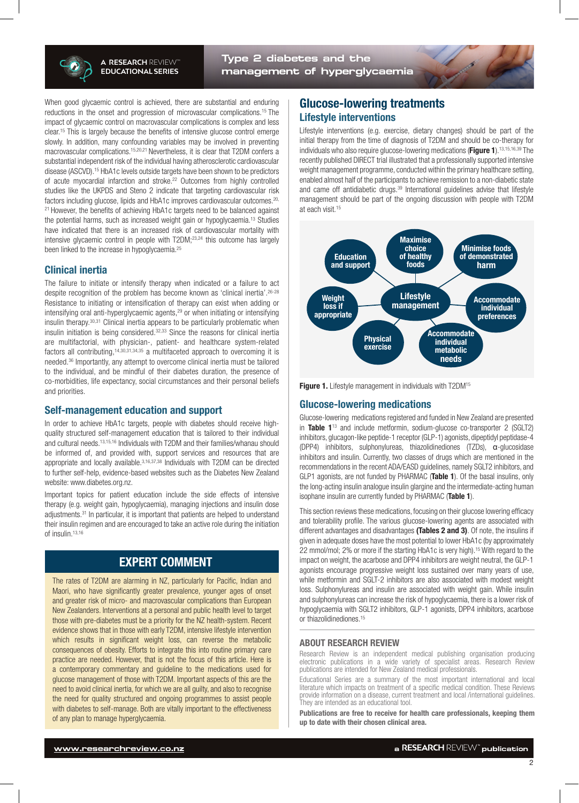

**Type 2 diabetes and the management of hyperglycaemia**

When good glycaemic control is achieved, there are substantial and enduring reductions in the onset and progression of microvascular complications.15 The impact of glycaemic control on macrovascular complications is complex and less clear.15 This is largely because the benefits of intensive glucose control emerge slowly. In addition, many confounding variables may be involved in preventing macrovascular complications.15,20,21 Nevertheless, it is clear that T2DM confers a substantial independent risk of the individual having atherosclerotic cardiovascular disease (ASCVD).15 HbA1c levels outside targets have been shown to be predictors of acute myocardial infarction and stroke.<sup>22</sup> Outcomes from highly controlled studies like the UKPDS and Steno 2 indicate that targeting cardiovascular risk factors including glucose, lipids and HbA1c improves cardiovascular outcomes.<sup>20,</sup> <sup>21</sup> However, the benefits of achieving HbA1c targets need to be balanced against the potential harms, such as increased weight gain or hypoglycaemia.13 Studies have indicated that there is an increased risk of cardiovascular mortality with intensive glycaemic control in people with T2DM;<sup>23,24</sup> this outcome has largely been linked to the increase in hypoglycaemia.<sup>25</sup>

#### Clinical inertia

The failure to initiate or intensify therapy when indicated or a failure to act despite recognition of the problem has become known as 'clinical inertia'.<sup>26-28</sup> Resistance to initiating or intensification of therapy can exist when adding or intensifying oral anti-hyperglycaemic agents,<sup>29</sup> or when initiating or intensifying insulin therapy.30,31 Clinical inertia appears to be particularly problematic when insulin initiation is being considered.32,33 Since the reasons for clinical inertia are multifactorial, with physician-, patient- and healthcare system-related factors all contributing,14,30,31,34,35 a multifaceted approach to overcoming it is needed.36 Importantly, any attempt to overcome clinical inertia must be tailored to the individual, and be mindful of their diabetes duration, the presence of co-morbidities, life expectancy, social circumstances and their personal beliefs and priorities.

#### Self-management education and support

In order to achieve HbA1c targets, people with diabetes should receive highquality structured self-management education that is tailored to their individual and cultural needs.13,15,16 Individuals with T2DM and their families/whanau should be informed of, and provided with, support services and resources that are appropriate and locally available.3,16,37,38 Individuals with T2DM can be directed to further self-help, evidence-based websites such as the Diabetes New Zealand website: www.diabetes.org.nz.

Important topics for patient education include the side effects of intensive therapy (e.g. weight gain, hypoglycaemia), managing injections and insulin dose adjustments.31 In particular, it is important that patients are helped to understand their insulin regimen and are encouraged to take an active role during the initiation of insulin.13,16

## EXPERT COMMENT

The rates of T2DM are alarming in NZ, particularly for Pacific, Indian and Maori, who have significantly greater prevalence, younger ages of onset and greater risk of micro- and macrovascular complications than European New Zealanders. Interventions at a personal and public health level to target those with pre-diabetes must be a priority for the NZ health-system. Recent evidence shows that in those with early T2DM, intensive lifestyle intervention which results in significant weight loss, can reverse the metabolic consequences of obesity. Efforts to integrate this into routine primary care practice are needed. However, that is not the focus of this article. Here is a contemporary commentary and guideline to the medications used for glucose management of those with T2DM. Important aspects of this are the need to avoid clinical inertia, for which we are all guilty, and also to recognise the need for quality structured and ongoing programmes to assist people with diabetes to self-manage. Both are vitally important to the effectiveness of any plan to manage hyperglycaemia.

## Glucose-lowering treatments Lifestyle interventions

Lifestyle interventions (e.g. exercise, dietary changes) should be part of the initial therapy from the time of diagnosis of T2DM and should be co-therapy for individuals who also require glucose-lowering medications (Figure 1).<sup>13,15,16,39</sup> The recently published DIRECT trial illustrated that a professionally supported intensive weight management programme, conducted within the primary healthcare setting, enabled almost half of the participants to achieve remission to a non-diabetic state and came off antidiabetic drugs.39 International guidelines advise that lifestyle management should be part of the ongoing discussion with people with T2DM at each visit.<sup>15</sup>



Figure 1. Lifestyle management in individuals with T2DM<sup>15</sup>

#### Glucose-lowering medications

Glucose-lowering medications registered and funded in New Zealand are presented in Table  $1^{13}$  and include metformin, sodium-glucose co-transporter 2 (SGLT2) inhibitors, glucagon-like peptide-1 receptor (GLP-1) agonists, dipeptidyl peptidase-4 (DPP4) inhibitors, sulphonylureas, thiazolidinediones (TZDs), α-glucosidase inhibitors and insulin. Currently, two classes of drugs which are mentioned in the recommendations in the recent ADA/EASD guidelines, namely SGLT2 inhibitors, and GLP1 agonists, are not funded by PHARMAC (Table 1). Of the basal insulins, only the long-acting insulin analogue insulin glargine and the intermediate-acting human isophane insulin are currently funded by PHARMAC (Table 1).

This section reviews these medications, focusing on their glucose lowering efficacy and tolerability profile. The various glucose-lowering agents are associated with different advantages and disadvantages (Tables 2 and 3). Of note, the insulins if given in adequate doses have the most potential to lower HbA1c (by approximately 22 mmol/mol; 2% or more if the starting HbA1c is very high).15 With regard to the impact on weight, the acarbose and DPP4 inhibitors are weight neutral, the GLP-1 agonists encourage progressive weight loss sustained over many years of use, while metformin and SGLT-2 inhibitors are also associated with modest weight loss. Sulphonylureas and insulin are associated with weight gain. While insulin and sulphonylureas can increase the risk of hypoglycaemia, there is a lower risk of hypoglycaemia with SGLT2 inhibitors, GLP-1 agonists, DPP4 inhibitors, acarbose or thiazolidinediones.15

#### ABOUT RESEARCH REVIEW

Research Review is an independent medical publishing organisation producing electronic publications in a wide variety of specialist areas. Research Review publications are intended for New Zealand medical professionals.

Educational Series are a summary of the most important international and local literature which impacts on treatment of a specific medical condition. These Reviews provide information on a disease, current treatment and local /international guidelines. They are intended as an educational tool.

Publications are free to receive for health care professionals, keeping them up to date with their chosen clinical area.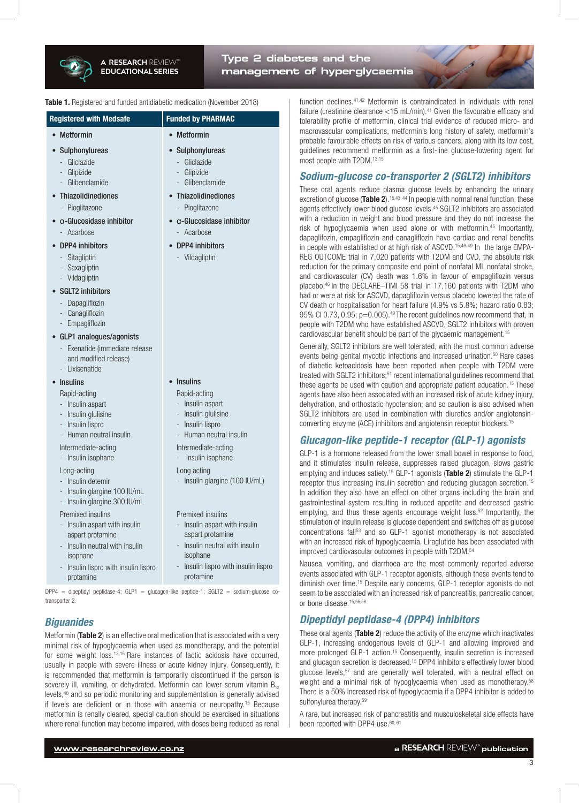

## **Type 2 diabetes and the management of hyperglycaemia**

#### Table 1. Registered and funded antidiabetic medication (November 2018)

| <b>Registered with Medsafe</b>                                                                                                                                                                                                                                           | <b>Funded by PHARMAC</b>                                                                                                                                                                                        |
|--------------------------------------------------------------------------------------------------------------------------------------------------------------------------------------------------------------------------------------------------------------------------|-----------------------------------------------------------------------------------------------------------------------------------------------------------------------------------------------------------------|
| • Metformin                                                                                                                                                                                                                                                              | <b>Metformin</b>                                                                                                                                                                                                |
| Sulphonylureas<br>Gliclazide<br>ц,<br>- Glipizide<br>Glibenclamide<br>Thiazolidinediones<br>$\bullet$<br>Pioglitazone<br>$\blacksquare$<br>$\alpha$ -Glucosidase inhibitor<br>$\bullet$<br>Acarbose<br>$\overline{a}$<br><b>DPP4</b> inhibitors<br>Sitagliptin<br>$\sim$ | <b>Sulphonylureas</b><br>- Gliclazide<br>- Glipizide<br>Glibenclamide<br><b>Thiazolidinediones</b><br>- Pioglitazone<br>$\alpha$ -Glucosidase inhibitor<br>Acarbose<br><b>DPP4</b> inhibitors<br>- Vildagliptin |
| - Saxagliptin<br>- Vildagliptin                                                                                                                                                                                                                                          |                                                                                                                                                                                                                 |
| <b>SGLT2</b> inhibitors<br>- Dapagliflozin<br>- Canagliflozin<br>- Empagliflozin<br>GLP1 analogues/agonists<br>- Exenatide (immediate release<br>and modified release)                                                                                                   |                                                                                                                                                                                                                 |
| - Lixisenatide                                                                                                                                                                                                                                                           |                                                                                                                                                                                                                 |
| <b>Insulins</b><br>Rapid-acting<br>- Insulin aspart<br>- Insulin glulisine<br>- Insulin lispro<br>Human neutral insulin                                                                                                                                                  | <b>Insulins</b><br>$\bullet$<br>Rapid-acting<br>- Insulin aspart<br>- Insulin glulisine<br>- Insulin lispro<br>- Human neutral insulin                                                                          |
| Intermediate-acting<br>Insulin isophane<br>Long-acting<br>- Insulin detemir<br>- Insulin glargine 100 IU/mL<br>Insulin glargine 300 IU/mL                                                                                                                                | Intermediate-acting<br>Insulin isophane<br>÷.<br>Long acting<br>- Insulin glargine (100 IU/mL)                                                                                                                  |
| Premixed insulins<br>Insulin aspart with insulin<br>aspart protamine<br>Insulin neutral with insulin<br>isophane<br>Insulin lispro with insulin lispro                                                                                                                   | Premixed insulins<br>- Insulin aspart with insulin<br>aspart protamine<br>- Insulin neutral with insulin<br>isophane<br>- Insulin lispro with insulin lispro                                                    |

DPP4 = dipeptidyl peptidase-4; GLP1 = glucagon-like peptide-1; SGLT2 = sodium-glucose cotransporter 2.

protamine

#### *Biguanides*

protamine

Metformin (Table 2) is an effective oral medication that is associated with a very minimal risk of hypoglycaemia when used as monotherapy, and the potential for some weight loss.<sup>13,15</sup> Rare instances of lactic acidosis have occurred, usually in people with severe illness or acute kidney injury. Consequently, it is recommended that metformin is temporarily discontinued if the person is severely ill, vomiting, or dehydrated. Metformin can lower serum vitamin  $B_{12}$ levels,40 and so periodic monitoring and supplementation is generally advised if levels are deficient or in those with anaemia or neuropathy.15 Because metformin is renally cleared, special caution should be exercised in situations where renal function may become impaired, with doses being reduced as renal

function declines.41,42 Metformin is contraindicated in individuals with renal failure (creatinine clearance  $<$  15 mL/min).<sup>41</sup> Given the favourable efficacy and tolerability profile of metformin, clinical trial evidence of reduced micro- and macrovascular complications, metformin's long history of safety, metformin's probable favourable effects on risk of various cancers, along with its low cost, guidelines recommend metformin as a first-line glucose-lowering agent for most people with T2DM.13,15

#### *Sodium-glucose co-transporter 2 (SGLT2) inhibitors*

These oral agents reduce plasma glucose levels by enhancing the urinary excretion of glucose (Table 2).<sup>15,43,44</sup> In people with normal renal function, these agents effectively lower blood glucose levels.45 SGLT2 inhibitors are associated with a reduction in weight and blood pressure and they do not increase the risk of hypoglycaemia when used alone or with metformin.45 Importantly, dapaglifozin, empagliflozin and canagliflozin have cardiac and renal benefits in people with established or at high risk of ASCVD.<sup>15,46-49</sup> In the large EMPA-REG OUTCOME trial in 7,020 patients with T2DM and CVD, the absolute risk reduction for the primary composite end point of nonfatal MI, nonfatal stroke, and cardiovascular (CV) death was 1.6% in favour of empagliflozin versus placebo.46 In the DECLARE–TIMI 58 trial in 17,160 patients with T2DM who had or were at risk for ASCVD, dapagliflozin versus placebo lowered the rate of CV death or hospitalisation for heart failure (4.9% vs 5.8%; hazard ratio 0.83; 95% CI 0.73, 0.95; p=0.005).<sup>49</sup> The recent guidelines now recommend that, in people with T2DM who have established ASCVD, SGLT2 inhibitors with proven cardiovascular benefit should be part of the glycaemic management.15

Generally, SGLT2 inhibitors are well tolerated, with the most common adverse events being genital mycotic infections and increased urination.<sup>50</sup> Rare cases of diabetic ketoacidosis have been reported when people with T2DM were treated with SGLT2 inhibitors;<sup>51</sup> recent international guidelines recommend that these agents be used with caution and appropriate patient education.15 These agents have also been associated with an increased risk of acute kidney injury, dehydration, and orthostatic hypotension; and so caution is also advised when SGLT2 inhibitors are used in combination with diuretics and/or angiotensinconverting enzyme (ACE) inhibitors and angiotensin receptor blockers.15

#### *Glucagon-like peptide-1 receptor (GLP-1) agonists*

GLP-1 is a hormone released from the lower small bowel in response to food, and it stimulates insulin release, suppresses raised glucagon, slows gastric emptying and induces satiety.<sup>15</sup> GLP-1 agonists (Table 2) stimulate the GLP-1 receptor thus increasing insulin secretion and reducing glucagon secretion.15 In addition they also have an effect on other organs including the brain and gastrointestinal system resulting in reduced appetite and decreased gastric emptying, and thus these agents encourage weight loss.52 Importantly, the stimulation of insulin release is glucose dependent and switches off as glucose concentrations fall53 and so GLP-1 agonist monotherapy is not associated with an increased risk of hypoglycaemia. Liraglutide has been associated with improved cardiovascular outcomes in people with T2DM.<sup>54</sup>

Nausea, vomiting, and diarrhoea are the most commonly reported adverse events associated with GLP-1 receptor agonists, although these events tend to diminish over time.15 Despite early concerns, GLP-1 receptor agonists do not seem to be associated with an increased risk of pancreatitis, pancreatic cancer, or bone disease.<sup>15,55,56</sup>

#### *Dipeptidyl peptidase-4 (DPP4) inhibitors*

These oral agents (Table 2) reduce the activity of the enzyme which inactivates GLP-1, increasing endogenous levels of GLP-1 and allowing improved and more prolonged GLP-1 action.<sup>15</sup> Consequently, insulin secretion is increased and glucagon secretion is decreased.15 DPP4 inhibitors effectively lower blood glucose levels,57 and are generally well tolerated, with a neutral effect on weight and a minimal risk of hypoglycaemia when used as monotherapy.<sup>58</sup> There is a 50% increased risk of hypoglycaemia if a DPP4 inhibitor is added to sulfonylurea therapy.<sup>59</sup>

A rare, but increased risk of pancreatitis and musculoskeletal side effects have been reported with DPP4 use.<sup>60, 61</sup>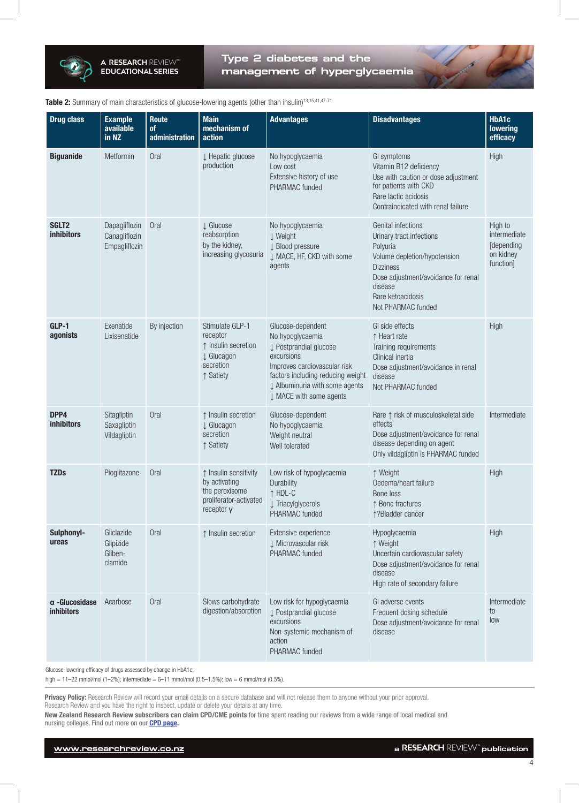

### **Type 2 diabetes and the management of hyperglycaemia**

#### Table 2: Summary of main characteristics of glucose-lowering agents (other than insulin)<sup>13,15,41,47-71</sup>

| <b>Drug class</b>                   | <b>Example</b><br>available<br>in NZ            | Route<br>of<br>administration | <b>Main</b><br>mechanism of<br>action                                                                                                                                             | <b>Advantages</b>                                                                                                                                                                                                                                 | <b>Disadvantages</b>                                                                                                                                                                                               | HbA1c<br>lowering<br>efficacy                                   |
|-------------------------------------|-------------------------------------------------|-------------------------------|-----------------------------------------------------------------------------------------------------------------------------------------------------------------------------------|---------------------------------------------------------------------------------------------------------------------------------------------------------------------------------------------------------------------------------------------------|--------------------------------------------------------------------------------------------------------------------------------------------------------------------------------------------------------------------|-----------------------------------------------------------------|
| <b>Biguanide</b>                    | Metformin                                       | Oral                          | J Hepatic glucose<br>production                                                                                                                                                   | No hypoglycaemia<br>GI symptoms<br>Vitamin B12 deficiency<br>Low cost<br>Extensive history of use<br>Use with caution or dose adjustment<br>for patients with CKD<br>PHARMAC funded<br>Rare lactic acidosis<br>Contraindicated with renal failure |                                                                                                                                                                                                                    | High                                                            |
| <b>SGLT2</b><br><b>inhibitors</b>   | Dapagliflozin<br>Canagliflozin<br>Empagliflozin | Oral                          | J Glucose<br>reabsorption<br>by the kidney,<br>increasing glycosuria                                                                                                              | No hypoglycaemia<br>↓ Weight<br>↓ Blood pressure<br>J MACE, HF, CKD with some<br>agents                                                                                                                                                           | <b>Genital infections</b><br>Urinary tract infections<br>Polyuria<br>Volume depletion/hypotension<br><b>Dizziness</b><br>Dose adjustment/avoidance for renal<br>disease<br>Rare ketoacidosis<br>Not PHARMAC funded | High to<br>intermediate<br>[depending<br>on kidney<br>function] |
| GLP-1<br>agonists                   | Exenatide<br>Lixisenatide                       | By injection                  | Stimulate GLP-1<br>receptor<br>↑ Insulin secretion<br>J Glucagon<br>secretion<br>↑ Satiety                                                                                        | Glucose-dependent<br>No hypoglycaemia<br>J Postprandial glucose<br>excursions<br>Improves cardiovascular risk<br>factors including reducing weight<br>↓ Albuminuria with some agents<br><b>L</b> MACE with some agents                            | GI side effects<br>↑ Heart rate<br>Training requirements<br>Clinical inertia<br>Dose adjustment/avoidance in renal<br>disease<br>Not PHARMAC funded                                                                | High                                                            |
| DPP4<br><b>inhibitors</b>           | Sitagliptin<br>Saxagliptin<br>Vildagliptin      | Oral                          | Glucose-dependent<br>↑ Insulin secretion<br>effects<br>No hypoglycaemia<br>L Glucagon<br>secretion<br>Weight neutral<br>disease depending on agent<br>↑ Satiety<br>Well tolerated |                                                                                                                                                                                                                                                   | Rare $\uparrow$ risk of musculoskeletal side<br>Dose adjustment/avoidance for renal<br>Only vildagliptin is PHARMAC funded                                                                                         | Intermediate                                                    |
| <b>TZDs</b>                         | Pioglitazone                                    | Oral                          | ↑ Insulin sensitivity<br>by activating<br>the peroxisome<br>proliferator-activated<br>receptor $y$                                                                                | Low risk of hypoglycaemia<br>Durability<br>↑ HDL-C<br>↓ Triacylglycerols<br>PHARMAC funded                                                                                                                                                        | ↑ Weight<br>Oedema/heart failure<br>Bone loss<br>↑ Bone fractures<br>↑?Bladder cancer                                                                                                                              | High                                                            |
| Sulphonyl-<br>ureas                 | Gliclazide<br>Glipizide<br>Gliben-<br>clamide   | Oral                          | ↑ Insulin secretion                                                                                                                                                               | Extensive experience<br>J Microvascular risk<br>PHARMAC funded                                                                                                                                                                                    | Hypoglycaemia<br>↑ Weight<br>Uncertain cardiovascular safety<br>Dose adjustment/avoidance for renal<br>disease<br>High rate of secondary failure                                                                   | High                                                            |
| $\alpha$ -Glucosidase<br>inhibitors | Acarbose                                        | Oral                          | Slows carbohydrate<br>digestion/absorption                                                                                                                                        | Low risk for hypoglycaemia<br>↓ Postprandial glucose<br>excursions<br>Non-systemic mechanism of<br>action<br>PHARMAC funded                                                                                                                       | GI adverse events<br>Frequent dosing schedule<br>Dose adjustment/avoidance for renal<br>disease                                                                                                                    | Intermediate<br>to<br>low                                       |

Glucose-lowering efficacy of drugs assessed by change in HbA1c;

high = 11–22 mmol/mol (1–2%); intermediate = 6–11 mmol/mol (0.5–1.5%); low = 6 mmol/mol (0.5%).

Privacy Policy: Research Review will record your email details on a secure database and will not release them to anyone without your prior approval. Research Review and you have the right to inspect, update or delete your details at any time.

New Zealand Research Review subscribers can claim CPD/CME points for time spent reading our reviews from a wide range of local medical and nursing colleges. Find out more on our **CPD page.**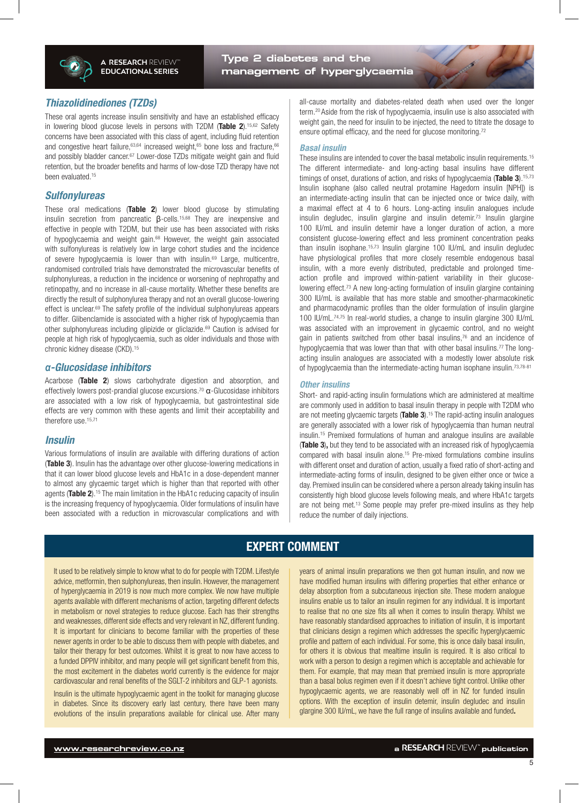

**Type 2 diabetes and the management of hyperglycaemia**

#### *Thiazolidinediones (TZDs)*

These oral agents increase insulin sensitivity and have an established efficacy in lowering blood glucose levels in persons with T2DM (Table 2).<sup>15,62</sup> Safety concerns have been associated with this class of agent, including fluid retention and congestive heart failure, 63,64 increased weight, 65 bone loss and fracture, 66 and possibly bladder cancer.<sup>67</sup> Lower-dose TZDs mitigate weight gain and fluid retention, but the broader benefits and harms of low-dose TZD therapy have not been evaluated.15

#### *Sulfonylureas*

These oral medications (Table 2) lower blood glucose by stimulating insulin secretion from pancreatic β-cells.15,68 They are inexpensive and effective in people with T2DM, but their use has been associated with risks of hypoglycaemia and weight gain.68 However, the weight gain associated with sulfonylureas is relatively low in large cohort studies and the incidence of severe hypoglycaemia is lower than with insulin.<sup>69</sup> Large, multicentre, randomised controlled trials have demonstrated the microvascular benefits of sulphonylureas, a reduction in the incidence or worsening of nephropathy and retinopathy, and no increase in all-cause mortality. Whether these benefits are directly the result of sulphonylurea therapy and not an overall glucose-lowering effect is unclear.69 The safety profile of the individual sulphonylureas appears to differ. Glibenclamide is associated with a higher risk of hypoglycaemia than other sulphonylureas including glipizide or gliclazide.<sup>69</sup> Caution is advised for people at high risk of hypoglycaemia, such as older individuals and those with chronic kidney disease (CKD).15

#### *α-Glucosidase inhibitors*

Acarbose (Table 2) slows carbohydrate digestion and absorption, and effectively lowers post-prandial glucose excursions.<sup>70</sup>  $\alpha$ -Glucosidase inhibitors are associated with a low risk of hypoglycaemia, but gastrointestinal side effects are very common with these agents and limit their acceptability and therefore use.15,71

#### *Insulin*

Various formulations of insulin are available with differing durations of action (Table 3). Insulin has the advantage over other glucose-lowering medications in that it can lower blood glucose levels and HbA1c in a dose-dependent manner to almost any glycaemic target which is higher than that reported with other agents (Table 2).<sup>15</sup> The main limitation in the HbA1c reducing capacity of insulin is the increasing frequency of hypoglycaemia. Older formulations of insulin have been associated with a reduction in microvascular complications and with all-cause mortality and diabetes-related death when used over the longer term.20 Aside from the risk of hypoglycaemia, insulin use is also associated with weight gain, the need for insulin to be injected, the need to titrate the dosage to ensure optimal efficacy, and the need for glucose monitoring.<sup>72</sup>

#### *Basal insulin*

These insulins are intended to cover the basal metabolic insulin requirements.15 The different intermediate- and long-acting basal insulins have different timings of onset, durations of action, and risks of hypoglycaemia (Table 3).<sup>15,73</sup> Insulin isophane (also called neutral protamine Hagedorn insulin [NPH]) is an intermediate-acting insulin that can be injected once or twice daily, with a maximal effect at 4 to 6 hours. Long-acting insulin analogues include insulin degludec, insulin glargine and insulin detemir.<sup>73</sup> Insulin glargine 100 IU/mL and insulin detemir have a longer duration of action, a more consistent glucose-lowering effect and less prominent concentration peaks than insulin isophane.<sup>15,73</sup> Insulin glargine 100 IU/mL and insulin degludec have physiological profiles that more closely resemble endogenous basal insulin, with a more evenly distributed, predictable and prolonged timeaction profile and improved within-patient variability in their glucoselowering effect.73 A new long-acting formulation of insulin glargine containing 300 IU/mL is available that has more stable and smoother-pharmacokinetic and pharmacodynamic profiles than the older formulation of insulin glargine 100 IU/mL.74,75 In real-world studies, a change to insulin glargine 300 IU/mL was associated with an improvement in glycaemic control, and no weight gain in patients switched from other basal insulins,<sup>76</sup> and an incidence of hypoglycaemia that was lower than that with other basal insulins.<sup>77</sup> The longacting insulin analogues are associated with a modestly lower absolute risk of hypoglycaemia than the intermediate-acting human isophane insulin.<sup>73,78-81</sup>

#### *Other insulins*

Short- and rapid-acting insulin formulations which are administered at mealtime are commonly used in addition to basal insulin therapy in people with T2DM who are not meeting glycaemic targets (Table 3).<sup>15</sup> The rapid-acting insulin analogues are generally associated with a lower risk of hypoglycaemia than human neutral insulin.15 Premixed formulations of human and analogue insulins are available (Table 3), but they tend to be associated with an increased risk of hypoglycaemia compared with basal insulin alone.15 Pre-mixed formulations combine insulins with different onset and duration of action, usually a fixed ratio of short-acting and intermediate-acting forms of insulin, designed to be given either once or twice a day. Premixed insulin can be considered where a person already taking insulin has consistently high blood glucose levels following meals, and where HbA1c targets are not being met.13 Some people may prefer pre-mixed insulins as they help reduce the number of daily injections.

## EXPERT COMMENT

It used to be relatively simple to know what to do for people with T2DM. Lifestyle advice, metformin, then sulphonylureas, then insulin. However, the management of hyperglycaemia in 2019 is now much more complex. We now have multiple agents available with different mechanisms of action, targeting different defects in metabolism or novel strategies to reduce glucose. Each has their strengths and weaknesses, different side effects and very relevant in NZ, different funding. It is important for clinicians to become familiar with the properties of these newer agents in order to be able to discuss them with people with diabetes, and tailor their therapy for best outcomes. Whilst it is great to now have access to a funded DPPIV inhibitor, and many people will get significant benefit from this, the most excitement in the diabetes world currently is the evidence for major cardiovascular and renal benefits of the SGLT-2 inhibitors and GLP-1 agonists.

Insulin is the ultimate hypoglycaemic agent in the toolkit for managing glucose in diabetes. Since its discovery early last century, there have been many evolutions of the insulin preparations available for clinical use. After many years of animal insulin preparations we then got human insulin, and now we have modified human insulins with differing properties that either enhance or delay absorption from a subcutaneous injection site. These modern analogue insulins enable us to tailor an insulin regimen for any individual. It is important to realise that no one size fits all when it comes to insulin therapy. Whilst we have reasonably standardised approaches to initiation of insulin, it is important that clinicians design a regimen which addresses the specific hyperglycaemic profile and pattern of each individual. For some, this is once daily basal insulin, for others it is obvious that mealtime insulin is required. It is also critical to work with a person to design a regimen which is acceptable and achievable for them. For example, that may mean that premixed insulin is more appropriate than a basal bolus regimen even if it doesn't achieve tight control. Unlike other hypoglycaemic agents, we are reasonably well off in NZ for funded insulin options. With the exception of insulin detemir, insulin degludec and insulin glargine 300 IU/mL, we have the full range of insulins available and funded.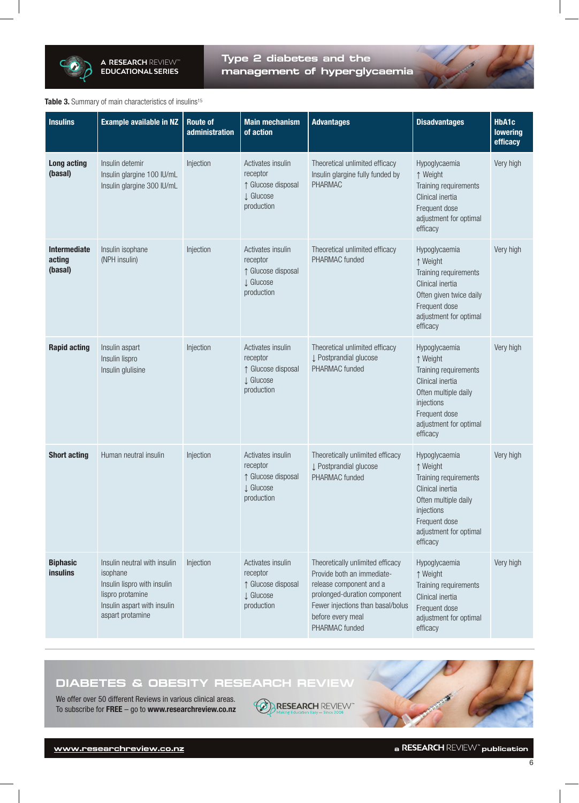

**Type 2 diabetes and the management of hyperglycaemia**

#### Table 3. Summary of main characteristics of insulins<sup>15</sup>

| <b>Insulins</b>                          | <b>Example available in NZ</b>                                                                                                                 | <b>Route of</b><br>administration | <b>Main mechanism</b><br>of action                                             | <b>Advantages</b>                                                                                                                                                                                     | <b>Disadvantages</b>                                                                                                                                                | HbA1c<br>lowering<br>efficacy |
|------------------------------------------|------------------------------------------------------------------------------------------------------------------------------------------------|-----------------------------------|--------------------------------------------------------------------------------|-------------------------------------------------------------------------------------------------------------------------------------------------------------------------------------------------------|---------------------------------------------------------------------------------------------------------------------------------------------------------------------|-------------------------------|
| Long acting<br>(basal)                   | Insulin detemir<br>Insulin glargine 100 IU/mL<br>Insulin glargine 300 IU/mL                                                                    | Injection                         | Activates insulin<br>receptor<br>↑ Glucose disposal<br>J Glucose<br>production | Theoretical unlimited efficacy<br>Insulin glargine fully funded by<br>PHARMAC                                                                                                                         | Hypoglycaemia<br>↑ Weight<br>Training requirements<br>Clinical inertia<br>Frequent dose<br>adjustment for optimal<br>efficacy                                       | Very high                     |
| <b>Intermediate</b><br>acting<br>(basal) | Insulin isophane<br>(NPH insulin)                                                                                                              | Injection                         | Activates insulin<br>receptor<br>↑ Glucose disposal<br>J Glucose<br>production | Theoretical unlimited efficacy<br>PHARMAC funded                                                                                                                                                      | Hypoglycaemia<br>↑ Weight<br>Training requirements<br>Clinical inertia<br>Often given twice daily<br>Frequent dose<br>adjustment for optimal<br>efficacy            | Very high                     |
| <b>Rapid acting</b>                      | Insulin aspart<br>Insulin lispro<br>Insulin glulisine                                                                                          | Injection                         | Activates insulin<br>receptor<br>↑ Glucose disposal<br>L Glucose<br>production | Theoretical unlimited efficacy<br>↓ Postprandial glucose<br>PHARMAC funded                                                                                                                            | Hypoglycaemia<br>↑ Weight<br>Training requirements<br>Clinical inertia<br>Often multiple daily<br>injections<br>Frequent dose<br>adjustment for optimal<br>efficacy | Very high                     |
| <b>Short acting</b>                      | Human neutral insulin                                                                                                                          | Injection                         | Activates insulin<br>receptor<br>↑ Glucose disposal<br>L Glucose<br>production | Theoretically unlimited efficacy<br>↓ Postprandial glucose<br>PHARMAC funded                                                                                                                          | Hypoglycaemia<br>↑ Weight<br>Training requirements<br>Clinical inertia<br>Often multiple daily<br>injections<br>Frequent dose<br>adjustment for optimal<br>efficacy | Very high                     |
| <b>Biphasic</b><br><b>insulins</b>       | Insulin neutral with insulin<br>isophane<br>Insulin lispro with insulin<br>lispro protamine<br>Insulin aspart with insulin<br>aspart protamine | Injection                         | Activates insulin<br>receptor<br>↑ Glucose disposal<br>J Glucose<br>production | Theoretically unlimited efficacy<br>Provide both an immediate-<br>release component and a<br>prolonged-duration component<br>Fewer injections than basal/bolus<br>before every meal<br>PHARMAC funded | Hypoglycaemia<br>↑ Weight<br>Training requirements<br>Clinical inertia<br>Frequent dose<br>adjustment for optimal<br>efficacy                                       | Very high                     |

**DIABETES & OBESITY RESEARCH REVIEW**

We offer over 50 different Reviews in various clinical areas. To subscribe for FREE – go to www.researchreview.co.nz

 $\bigcirc$ **RESEARCH** REVIEW<sup>\*</sup>

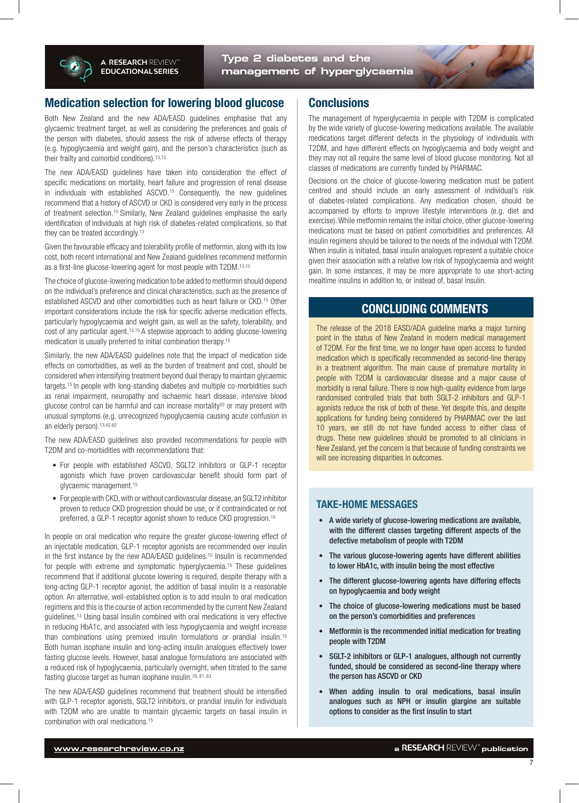

**Type 2 diabetes and the management of hyperglycaemia**

## Medication selection for lowering blood glucose

Both New Zealand and the new ADA/EASD guidelines emphasise that any glycaemic treatment target, as well as considering the preferences and goals of the person with diabetes, should assess the risk of adverse effects of therapy (e.g. hypoglycaemia and weight gain), and the person's characteristics (such as their frailty and comorbid conditions).<sup>13,15</sup>

The new ADA/EASD guidelines have taken into consideration the effect of specific medications on mortality, heart failure and progression of renal disease in individuals with established ASCVD.<sup>15</sup> Consequently, the new quidelines recommend that a history of ASCVD or CKD is considered very early in the process of treatment selection.<sup>15</sup> Similarly, New Zealand guidelines emphasise the early identification of individuals at high risk of diabetes-related complications, so that they can be treated accordingly.<sup>13</sup>

Given the favourable efficacy and tolerability profile of metformin, along with its low cost, both recent international and New Zealand guidelines recommend metformin as a first-line glucose-lowering agent for most people with T2DM.13,15

The choice of glucose-lowering medication to be added to metformin should depend on the individual's preference and clinical characteristics, such as the presence of established ASCVD and other comorbidities such as heart failure or CKD.15 Other important considerations include the risk for specific adverse medication effects, particularly hypoglycaemia and weight gain, as well as the safety, tolerability, and cost of any particular agent.13,15 A stepwise approach to adding glucose-lowering medication is usually preferred to initial combination therapy.15

Similarly, the new ADA/EASD guidelines note that the impact of medication side effects on comorbidities, as well as the burden of treatment and cost, should be considered when intensifying treatment beyond dual therapy to maintain glycaemic targets.15 In people with long-standing diabetes and multiple co-morbidities such as renal impairment, neuropathy and ischaemic heart disease, intensive blood glucose control can be harmful and can increase mortality<sup>20</sup> or may present with unusual symptoms (e.g. unrecognized hypoglycaemia causing acute confusion in an elderly person).13,42,82

The new ADA/EASD guidelines also provided recommendations for people with T2DM and co-morbidities with recommendations that:

- For people with established ASCVD, SGLT2 inhibitors or GLP-1 receptor agonists which have proven cardiovascular benefit should form part of glycaemic management.15
- For people with CKD, with or without cardiovascular disease, an SGLT2 inhibitor proven to reduce CKD progression should be use, or if contraindicated or not preferred, a GLP-1 receptor agonist shown to reduce CKD progression.<sup>15</sup>

In people on oral medication who require the greater glucose-lowering effect of an injectable medication, GLP-1 receptor agonists are recommended over insulin in the first instance by the new ADA/EASD guidelines.<sup>15</sup> Insulin is recommended for people with extreme and symptomatic hyperglycaemia.<sup>15</sup> These guidelines recommend that if additional glucose lowering is required, despite therapy with a long-acting GLP-1 receptor agonist, the addition of basal insulin is a reasonable option. An alternative, well-established option is to add insulin to oral medication regimens and this is the course of action recommended by the current New Zealand guidelines.13 Using basal insulin combined with oral medications is very effective in reducing HbA1c, and associated with less hypoglycaemia and weight increase than combinations using premixed insulin formulations or prandial insulin.15 Both human isophane insulin and long-acting insulin analogues effectively lower fasting glucose levels. However, basal analogue formulations are associated with a reduced risk of hypoglycaemia, particularly overnight, when titrated to the same fasting glucose target as human isophane insulin.78, 81, 83

The new ADA/EASD guidelines recommend that treatment should be intensified with GLP-1 receptor agonists, SGLT2 inhibitors, or prandial insulin for individuals with T2DM who are unable to maintain glycaemic targets on basal insulin in combination with oral medications.15

## **Conclusions**

The management of hyperglycaemia in people with T2DM is complicated by the wide variety of glucose-lowering medications available. The available medications target different defects in the physiology of individuals with T2DM, and have different effects on hypoglycaemia and body weight and they may not all require the same level of blood glucose monitoring. Not all classes of medications are currently funded by PHARMAC.

Decisions on the choice of glucose-lowering medication must be patient centred and should include an early assessment of individual's risk of diabetes-related complications. Any medication chosen, should be accompanied by efforts to improve lifestyle interventions (e.g. diet and exercise). While metformin remains the initial choice, other glucose-lowering medications must be based on patient comorbidities and preferences. All insulin regimens should be tailored to the needs of the individual with T2DM. When insulin is initiated, basal insulin analogues represent a suitable choice given their association with a relative low risk of hypoglycaemia and weight gain. In some instances, it may be more appropriate to use short-acting mealtime insulins in addition to, or instead of, basal insulin.

## CONCLUDING COMMENTS

The release of the 2018 EASD/ADA guideline marks a major turning point in the status of New Zealand in modern medical management of T2DM. For the first time, we no longer have open access to funded medication which is specifically recommended as second-line therapy in a treatment algorithm. The main cause of premature mortality in people with T2DM is cardiovascular disease and a major cause of morbidity is renal failure. There is now high-quality evidence from large randomised controlled trials that both SGLT-2 inhibitors and GLP-1 agonists reduce the risk of both of these. Yet despite this, and despite applications for funding being considered by PHARMAC over the last 10 years, we still do not have funded access to either class of drugs. These new guidelines should be promoted to all clinicians in New Zealand, yet the concern is that because of funding constraints we will see increasing disparities in outcomes.

#### TAKE-HOME MESSAGES

- A wide variety of glucose-lowering medications are available, with the different classes targeting different aspects of the defective metabolism of people with T2DM
- The various glucose-lowering agents have different abilities to lower HbA1c, with insulin being the most effective
- The different glucose-lowering agents have differing effects on hypoglycaemia and body weight
- The choice of glucose-lowering medications must be based on the person's comorbidities and preferences
- Metformin is the recommended initial medication for treating people with T2DM
- SGLT-2 inhibitors or GLP-1 analogues, although not currently funded, should be considered as second-line therapy where the person has ASCVD or CKD
- When adding insulin to oral medications, basal insulin analogues such as NPH or insulin glargine are suitable options to consider as the first insulin to start